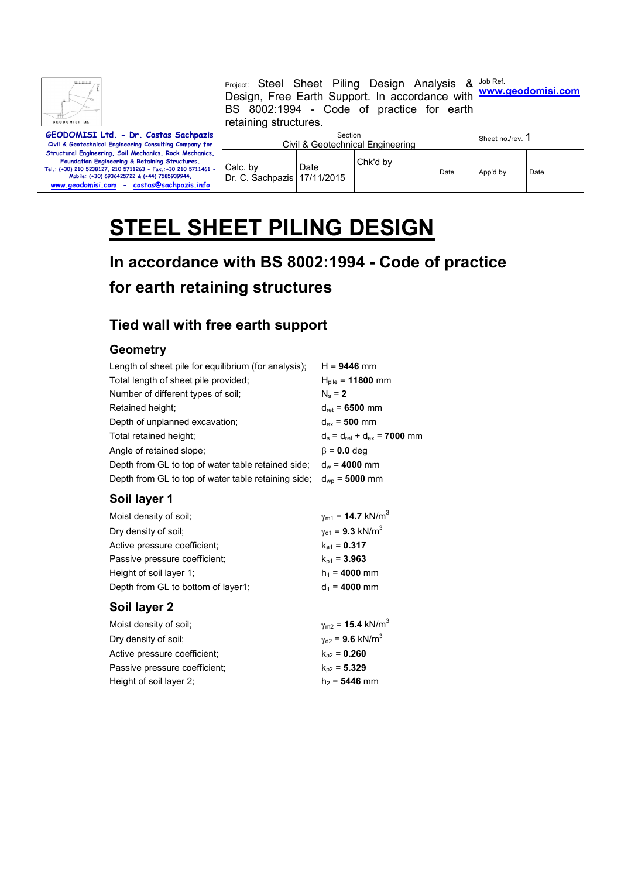| GEODOMISI Ltd.                                                                                                                                                                                                                                                          | <b>Project: Steel Sheet Piling Design Analysis</b><br>Design, Free Earth Support. In accordance with www.geodomisi.com<br>BS 8002:1994 - Code of practice for earth<br>retaining structures. | $8$ Job Ref. |          |      |                  |      |
|-------------------------------------------------------------------------------------------------------------------------------------------------------------------------------------------------------------------------------------------------------------------------|----------------------------------------------------------------------------------------------------------------------------------------------------------------------------------------------|--------------|----------|------|------------------|------|
| GEODOMISI Ltd. - Dr. Costas Sachpazis<br>Civil & Geotechnical Engineering Consulting Company for                                                                                                                                                                        | Section<br>Civil & Geotechnical Engineering                                                                                                                                                  |              |          |      | Sheet no./rev. 1 |      |
| Structural Engineering, Soil Mechanics, Rock Mechanics,<br>Foundation Engineering & Retaining Structures.<br>Tel.: (+30) 210 5238127, 210 5711263 - Fax.:+30 210 5711461 -<br>Mobile: (+30) 6936425722 & (+44) 7585939944,<br>www.geodomisi.com - costas@sachpazis.info | Calc. by<br>Dr. C. Sachpazis   17/11/2015                                                                                                                                                    | Date         | Chk'd by | Date | App'd by         | Date |

# **STEEL SHEET PILING DESIGN**

## **In accordance with BS 8002:1994 - Code of practice for earth retaining structures**

### **Tied wall with free earth support**

### **Geometry**

| Length of sheet pile for equilibrium (for analysis); | $H = 9446$ mm                                    |
|------------------------------------------------------|--------------------------------------------------|
| Total length of sheet pile provided;                 | $H_{\text{pile}} = 11800$ mm                     |
| Number of different types of soil:                   | $N_s = 2$                                        |
| Retained height:                                     | $d_{\text{ret}}$ = 6500 mm                       |
| Depth of unplanned excavation;                       | $d_{ex}$ = 500 mm                                |
| Total retained height;                               | $d_s = d_{\text{ret}} + d_{\text{ex}} = 7000$ mm |
| Angle of retained slope;                             | $\beta$ = 0.0 deg                                |
| Depth from GL to top of water table retained side;   | $d_w = 4000$ mm                                  |
| Depth from GL to top of water table retaining side;  | $d_{\rm WD}$ = 5000 mm                           |
|                                                      |                                                  |

## **Soil layer 1**

| Moist density of soil;             | $\gamma_{\rm m1}$ = 14.7 kN/m <sup>3</sup> |
|------------------------------------|--------------------------------------------|
| Dry density of soil;               | $\gamma_{d1}$ = 9.3 kN/m <sup>3</sup>      |
| Active pressure coefficient:       | $k_{a1} = 0.317$                           |
| Passive pressure coefficient;      | $k_{p1} = 3.963$                           |
| Height of soil layer 1;            | $h_1 = 4000$ mm                            |
| Depth from GL to bottom of layer1: | $d_1 = 4000$ mm                            |

### **Soil layer 2**

| Moist density of soil:        | $\gamma_{\text{m2}} = 15.4 \text{ kN/m}^3$ |
|-------------------------------|--------------------------------------------|
| Dry density of soil:          | $\gamma_{d2}$ = 9.6 kN/m <sup>3</sup>      |
| Active pressure coefficient:  | $k_{22} = 0.260$                           |
| Passive pressure coefficient: | $k_{p2} = 5.329$                           |
| Height of soil layer 2;       | $h_2 = 5446$ mm                            |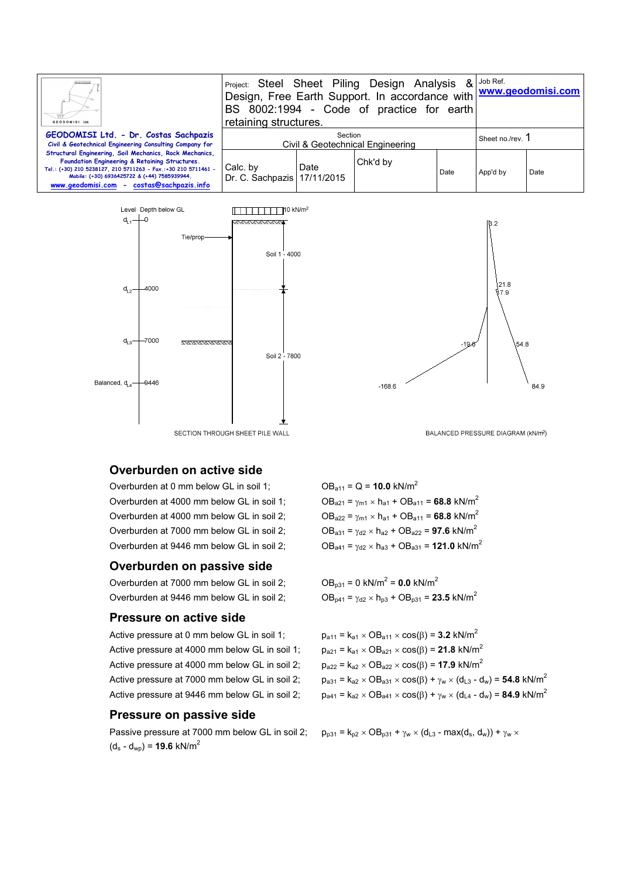| Ш.<br>GEODOMISI Ltd                                                                                                                                                                                                                                                     | Project: Steel Sheet Piling Design Analysis<br>Design, Free Earth Support. In accordance with www.geodomisi.com<br>BS 8002:1994 - Code of practice for earth<br>retaining structures. | $8$ Job Ref. |          |      |                  |      |
|-------------------------------------------------------------------------------------------------------------------------------------------------------------------------------------------------------------------------------------------------------------------------|---------------------------------------------------------------------------------------------------------------------------------------------------------------------------------------|--------------|----------|------|------------------|------|
| GEODOMISI Ltd. - Dr. Costas Sachpazis<br>Civil & Geotechnical Engineering Consulting Company for                                                                                                                                                                        | Section<br>Civil & Geotechnical Engineering                                                                                                                                           |              |          |      | Sheet no./rev. 1 |      |
| Structural Engineering, Soil Mechanics, Rock Mechanics,<br>Foundation Engineering & Retaining Structures.<br>Tel.: (+30) 210 5238127, 210 5711263 - Fax.:+30 210 5711461 -<br>Mobile: (+30) 6936425722 & (+44) 7585939944,<br>www.geodomisi.com - costas@sachpazis.info | Calc. by<br>Dr. C. Sachpazis   17/11/2015                                                                                                                                             | Date         | Chk'd by | Date | App'd by         | Date |





#### **Overburden on active side**

Overburden at 0 mm below GL in soil 1:  $OB_{a11} = Q = 10.0 \text{ kN/m}^2$ Overburden at 4000 mm below GL in soil 1;  $OB_{a21} = \gamma_{m1} \times h_{a1} + OB_{a11} = 68.8 \text{ kN/m}^2$ Overburden at 4000 mm below GL in soil 2;  $OB_{a22} = \gamma_{m1} \times h_{a1} + OB_{a11} = 68.8$  kN/m<sup>2</sup> Overburden at 7000 mm below GL in soil 2;  $OB_{a31} = \gamma_{d2} \times h_{a2} + OB_{a22} = 97.6 \text{ kN/m}^2$ 

#### **Overburden on passive side**

Overburden at 7000 mm below GL in soil 2; Overburden at 9446 mm below GL in soil 2;  $OB_{p41} = \gamma_{d2} \times h_{p3} + OB_{p31} = 23.5 \text{ kN/m}^2$ 

#### **Pressure on active side**

Active pressure at 0 mm below GL in soil 1;  $p_{a11} = k_{a1} \times OB_{a11} \times \cos(\beta) = 3.2 \text{ kN/m}^2$ Active pressure at 4000 mm below GL in soil 1;  $p_{a21} = k_{a1} \times OB_{a21} \times cos(\beta) = 21.8 \text{ kN/m}^2$ Active pressure at 4000 mm below GL in soil 2;  $p_{a22} = k_{a2} \times OB_{a22} \times \cos(\beta) = 17.9 \text{ kN/m}^2$ 

#### **Pressure on passive side**

Passive pressure at 7000 mm below GL in soil 2;  $p_{p31} = k_{p2} \times OB_{p31} + \gamma_w \times (d_{L3} - max(d_s, d_w)) + \gamma_w \times$  $(d_s - d_{wp}) = 19.6$  kN/m<sup>2</sup>

BALANCED PRESSURE DIAGRAM (kN/m<sup>2</sup>)

Overburden at 9446 mm below GL in soil 2;  $OB_{a41} = \gamma_{d2} \times h_{a3} + OB_{a31} = 121.0 \text{ kN/m}^2$ 

 $OB_{p31} = 0$  kN/m<sup>2</sup> = **0.0** kN/m<sup>2</sup>

Active pressure at 7000 mm below GL in soil 2;  $p_{a31} = k_{a2} \times OB_{a31} \times cos(\beta) + \gamma_w \times (d_{L3} - d_w) =$  **54.8** kN/m<sup>2</sup> Active pressure at 9446 mm below GL in soil 2;  $p_{a41} = k_{a2} \times OB_{a41} \times \cos(\beta) + \gamma_w \times (d_{L4} - d_w) = 84.9 \text{ kN/m}^2$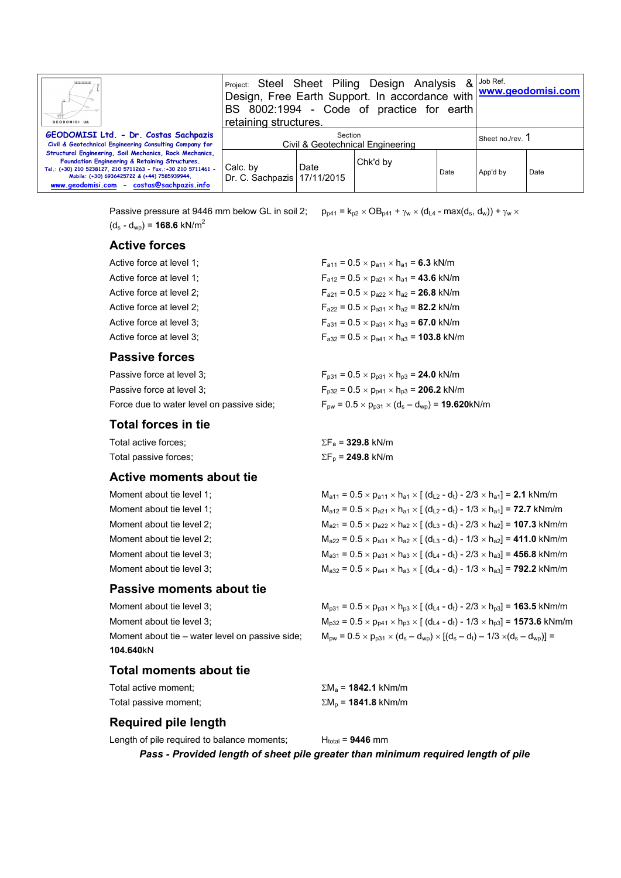| Ш.<br>GEODOMISI Ltd.                                                                                                                                                                                                                                                    | retaining structures.                       |      | <b>Project: Steel Sheet Piling Design Analysis</b><br>Design, Free Earth Support. In accordance with www.geodomisi.com<br>BS 8002:1994 - Code of practice for earth |      | $8$ Job Ref.                |      |
|-------------------------------------------------------------------------------------------------------------------------------------------------------------------------------------------------------------------------------------------------------------------------|---------------------------------------------|------|---------------------------------------------------------------------------------------------------------------------------------------------------------------------|------|-----------------------------|------|
| GEODOMISI Ltd. - Dr. Costas Sachpazis<br>Civil & Geotechnical Engineering Consulting Company for                                                                                                                                                                        | Section<br>Civil & Geotechnical Engineering |      |                                                                                                                                                                     |      | Sheet no./rev. <sup>1</sup> |      |
| Structural Engineering, Soil Mechanics, Rock Mechanics,<br>Foundation Engineering & Retaining Structures.<br>Tel.: (+30) 210 5238127, 210 5711263 - Fax.:+30 210 5711461 -<br>Mobile: (+30) 6936425722 & (+44) 7585939944,<br>www.geodomisi.com - costas@sachpazis.info | Calc. by<br>Dr. C. Sachpazis 17/11/2015     | Date | Chk'd by                                                                                                                                                            | Date | App'd by                    | Date |

Passive pressure at 9446 mm below GL in soil 2;  $p_{p41} = k_{p2} \times OB_{p41} + \gamma_w \times (d_{L4} - max(d_s, d_w)) + \gamma_w \times$  $(d_s - d_{wo}) = 168.6$  kN/m<sup>2</sup>

#### **Active forces**

| Active force at level 1; | $F_{a11} = 0.5 \times p_{a11} \times h_{a1} = 6.3$ kN/m   |
|--------------------------|-----------------------------------------------------------|
| Active force at level 1; | $F_{a12} = 0.5 \times p_{a21} \times p_{a1} = 43.6$ kN/m  |
| Active force at level 2; | $F_{a21} = 0.5 \times p_{a22} \times h_{a2} = 26.8$ kN/m  |
| Active force at level 2; | $F_{a22} = 0.5 \times p_{a31} \times h_{a2} = 82.2$ kN/m  |
| Active force at level 3; | $F_{a31} = 0.5 \times p_{a31} \times h_{a3} = 67.0$ kN/m  |
| Active force at level 3; | $F_{a32} = 0.5 \times p_{a41} \times h_{a3} = 103.8$ kN/m |
|                          |                                                           |

#### **Passive forces**

| Passive force at level 3:                 | $F_{p31} = 0.5 \times p_{p31} \times h_{p3} = 24.0$ kN/m                                               |
|-------------------------------------------|--------------------------------------------------------------------------------------------------------|
| Passive force at level 3;                 | $F_{p32} = 0.5 \times p_{p41} \times h_{p3} = 206.2$ kN/m                                              |
| Force due to water level on passive side: | $F_{\text{pw}} = 0.5 \times p_{\text{p31}} \times (d_{\text{s}} - d_{\text{wp}}) = 19.620 \text{kN/m}$ |

#### **Total forces in tie**

| Total active forces;  | $\Sigma F_a$ = <b>329.8</b> kN/m |
|-----------------------|----------------------------------|
| Total passive forces: | $\Sigma F_{\rm p}$ = 249.8 kN/m  |

#### **Active moments about tie**

| Moment about tie level 1; |
|---------------------------|
| Moment about tie level 1; |
| Moment about tie level 2; |
| Moment about tie level 2; |
| Moment about tie level 3; |
| Moment about tie level 3; |

#### **Passive moments about tie**

**104.640**kN

#### **Total moments about tie**

| Total active moment:  |  |
|-----------------------|--|
| Total passive moment; |  |

 $\Sigma M_a$  = **1842.1** kNm/m

#### **Required pile length**

Length of pile required to balance moments;  $H_{total} = 9446$  mm

*Pass - Provided length of sheet pile greater than minimum required length of pile* 

 $\Sigma M_p = 1841.8$  kNm/m

### $M_{a12} = 0.5 \times p_{a21} \times h_{a1} \times [ (d_{L2} - d_t) - 1/3 \times h_{a1}] = 72.7$  kNm/m  $M_{a21} = 0.5 \times p_{a22} \times h_{a2} \times [ (d_{L3} - d_t) - 2/3 \times h_{a2}] = 107.3$  kNm/m  $M_{a22} = 0.5 \times p_{a31} \times h_{a2} \times [ (d_{L3} - d_t) - 1/3 \times h_{a2}] = 411.0 \text{ kNm/m}$  $M_{a31} = 0.5 \times p_{a31} \times h_{a3} \times [ (d_{L4} - d_t) - 2/3 \times h_{a3}] = 456.8$  kNm/m  $M_{a32} = 0.5 \times p_{a41} \times h_{a3} \times [ (d_{L4} - d_t) - 1/3 \times h_{a3}] = 792.2$  kNm/m

### Moment about tie level 3;  $M_{p31} = 0.5 \times p_{p31} \times h_{p3} \times [(d_{L4} - d_t) - 2/3 \times h_{p3}] = 163.5$  kNm/m Moment about tie level 3;  $M_{p32} = 0.5 \times p_{p41} \times h_{p3} \times [(d_{L4} - d_t) - 1/3 \times h_{p3}] = 1573.6$  kNm/m Moment about tie – water level on passive side;  $M_{pw} = 0.5 \times p_{p31} \times (d_s - d_{wp}) \times [(d_s - d_t) - 1/3 \times (d_s - d_{wp})] =$

 $M_{a11} = 0.5 \times p_{a11} \times h_{a1} \times [ (d_{L2} - d_t) - 2/3 \times h_{a1}] = 2.1$  kNm/m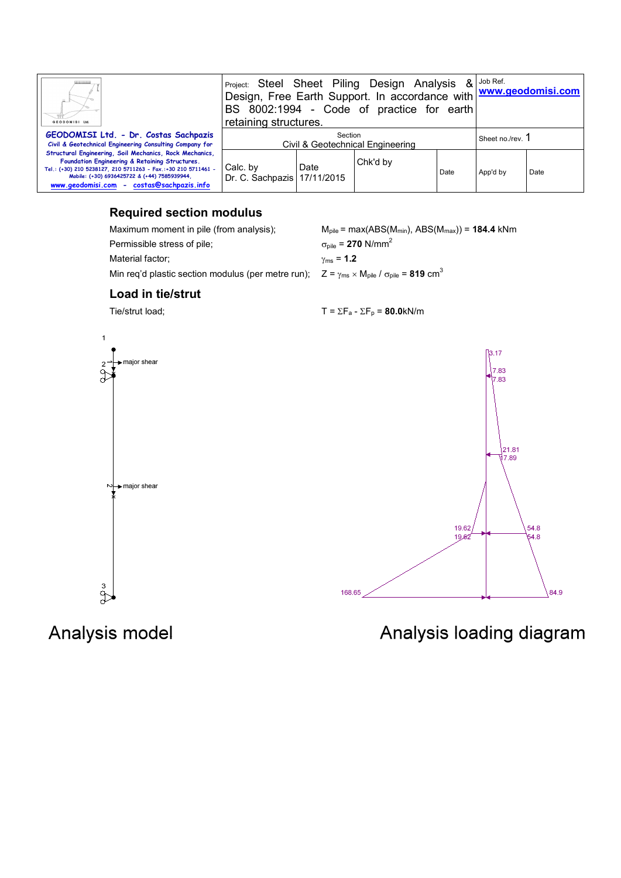| Ш.<br>GEODOMISI Ltd.                                                                                                                                                                                                                                                    | Project: Steel Sheet Piling Design Analysis<br>Design, Free Earth Support. In accordance with www.geodomisi.com<br>BS 8002:1994 - Code of practice for earth<br>retaining structures. |      |          |      | $\&$ $\vert$ Job Ref. |      |
|-------------------------------------------------------------------------------------------------------------------------------------------------------------------------------------------------------------------------------------------------------------------------|---------------------------------------------------------------------------------------------------------------------------------------------------------------------------------------|------|----------|------|-----------------------|------|
| GEODOMISI Ltd. - Dr. Costas Sachpazis<br>Civil & Geotechnical Engineering Consulting Company for                                                                                                                                                                        | Section<br>Civil & Geotechnical Engineering                                                                                                                                           |      |          |      | Sheet no./rev.        |      |
| Structural Engineering, Soil Mechanics, Rock Mechanics,<br>Foundation Engineering & Retaining Structures.<br>Tel.: (+30) 210 5238127, 210 5711263 - Fax.:+30 210 5711461 -<br>Mobile: (+30) 6936425722 & (+44) 7585939944.<br>www.geodomisi.com - costas@sachpazis.info | Calc. by<br>Dr. C. Sachpazis   17/11/2015                                                                                                                                             | Date | Chk'd by | Date | App'd by              | Date |

#### **Required section modulus**

Permissible stress of pile;  $\sigma_{\text{pile}} = 270 \text{ N/mm}^2$ 

Material factor;  $\gamma_{\text{ms}} = 1.2$ 

Maximum moment in pile (from analysis); M<sub>pile</sub> = max(ABS(M<sub>min</sub>), ABS(M<sub>max</sub>)) = **184.4** kNm

Min req'd plastic section modulus (per metre run);  $Z = \gamma_{\text{ms}} \times M_{\text{pile}} / \sigma_{\text{pile}} = 819 \text{ cm}^3$ 

#### **Load in tie/strut**

 $\overline{1}$ 

Tie/strut load;  $T = \Sigma F_a - \Sigma F_p = 80.0 \text{kN/m}$ 



## Analysis model

 $\stackrel{3}{\diamond}$ 

84.9